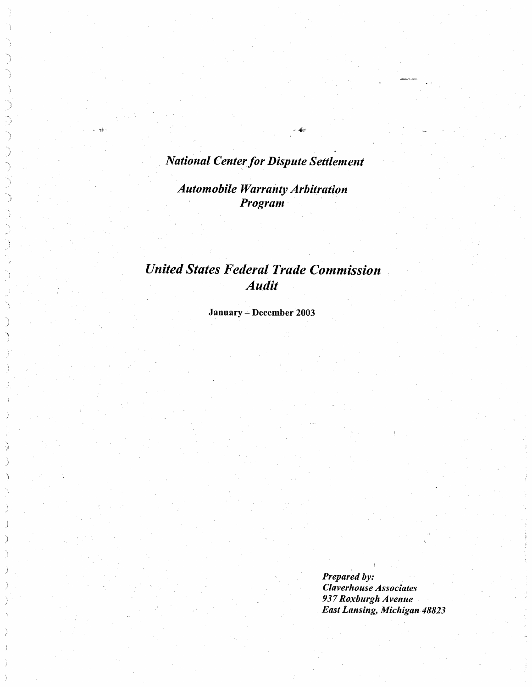# National Center for Dispute Settlement

 $\frac{\partial \mathcal{L}}{\partial \mathbf{r}}$ 

١ €

).<br>Z Ď  $\hat{ }$ 

Automobile Warranty Arbitration Program

# United States Federal Trade Commission Audit

Jannary - December 2003

Prepared by: Claverhouse Associates 937 Roxburgh Avenue East Lansing, Michigan 48823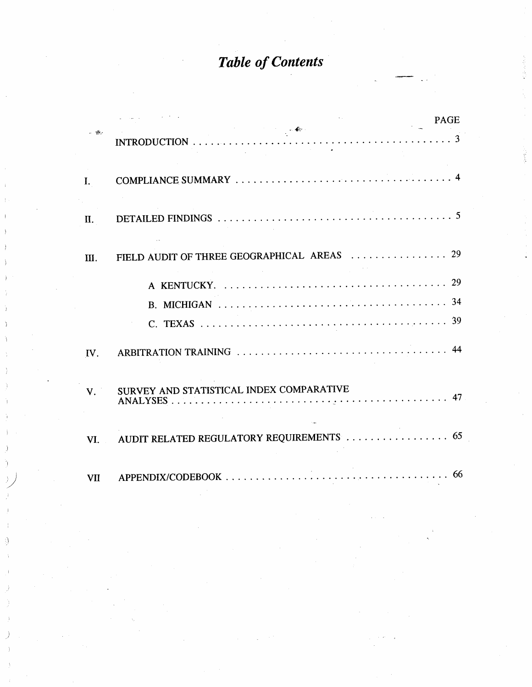# Table of Contents

|             | <b>PAGE</b>                                                            |
|-------------|------------------------------------------------------------------------|
| $-45.$      | INTRODUCTION $\cdots \cdots \cdots \cdots \cdots \cdots \cdots \cdots$ |
| L.          |                                                                        |
| П.          |                                                                        |
| III.        | FIELD AUDIT OF THREE GEOGRAPHICAL AREAS  29                            |
|             |                                                                        |
|             |                                                                        |
|             |                                                                        |
| IV.         |                                                                        |
| $V_{\cdot}$ | SURVEY AND STATISTICAL INDEX COMPARATIVE                               |
| VI.         | AUDIT RELATED REGULATORY REQUIREMENTS  65                              |
| VII         |                                                                        |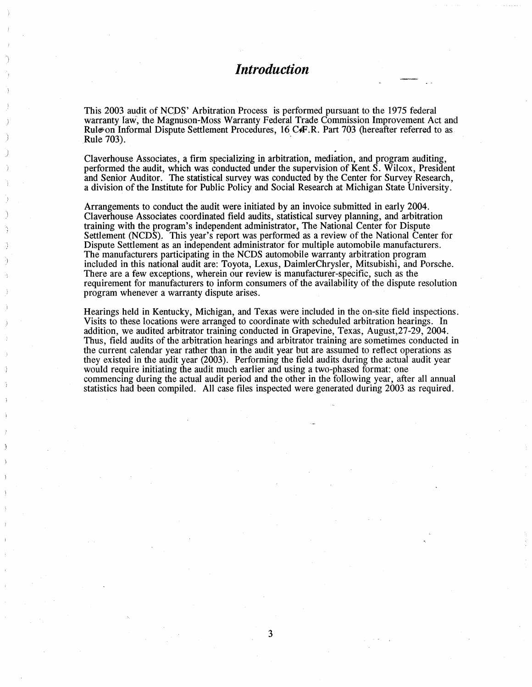# **Introduction**

This 2003 audit of NCDS' Arbitration Process is performed pursuant to the 1975 federal warranty law, the Magnuson-Moss Warranty Federal Trade Commission Improvement Act and Rule on Informal Dispute Settlement Procedures, 16 C4F.R. Part 703 (hereafter referred to as Rule 703).

Claverhouse Associates, a firm specializing in arbitration, mediation, and program auditing, performed the audit, which was conducted under the supervision of Kent S. Wilcox, President and Senior Auditor. The statistical survey was conducted by the Center for Survey Research a division of the Institute for Public Policy and Social Research at Michigan State University.

Arrangements to conduct the audit were initiated by an invoice submitted in early 2004. Claverhouse Associates coordinated field audits, statistical survey planning, and arbitration training with the program's independent administrator, The National Center for Dispute Settlement (NCDS). This year's report was performed as a review of the National Center for Dispute Settement as an independent administrator for multiple automobile manufacturers. The manufacturers participating in the NCDS automobile warranty arbitration program included in this national audit are: Toyota, Lexus , DaimlerChrysler, Mitsubishi, and Porsche. There are a few exceptions, wherein our review is manufacturer-specific, such as the requirement for manufacturers to inform consumers of the availability of the dispute resolution program whenever a warranty dispute arises.

Hearings held in Kentucky, Michigan, and Texas were included in the on-site field inspections. Visits to these locations were arranged to coordinate with scheduled arbitration hearings. In addition, we audited arbitrator training conducted in Grapevine, Texas, August  $27-29$ ,  $2004$ . Thus, field audits of the arbitration hearings and arbitrator training are sometimes conducted in the current calendar year rather than in the audit year but are assumed to reflect operations as they existed in the audit year (2003). Performing the field audits during the actual audit year would require initiating the audit much earlier and using a two-phased format: one commencing during the actual audit period and the other in the following year, after all annual statistics had been compiled. All case fies inspected were generated during 2003 as required.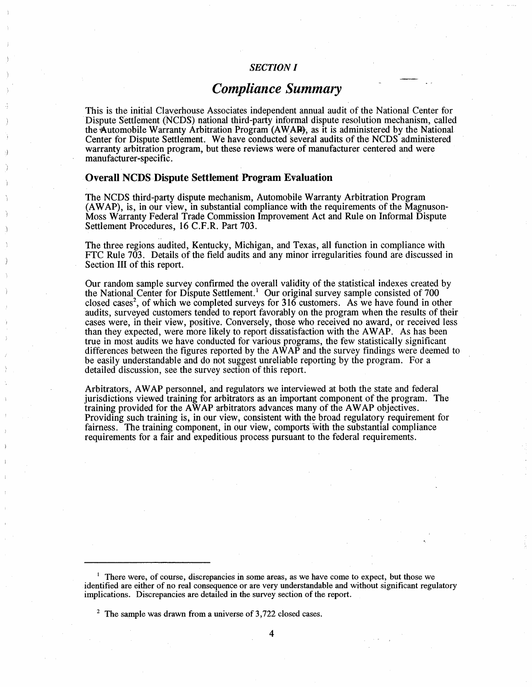# SECTION I

# Compliance Summary

This is the initial Claverhouse Associates independent annual audit of the National Center for Dispute Settlement (NCDS) national third-party informal dispute resolution mechanism, called the Automobile Warranty Arbitration Program (AWAR), as it is administered by the National Center for Dispute Settlement. We have conducted several audits of the NCDS administered warranty arbitration program, but these reviews were of manufacturer centered and were manufacturer-specific.

# Overall NCDS Dispute Settlement Program Evaluation

The NCDS third-party dispute mechanism, Automobile Warranty Arbitration Program (A W AP), is, in our view, in substantial compliance with the requirements of the Magnuson-Moss Warranty Federal Trade Commission Improvement Act and Rule on Informal Dispute Settlement Procedures, 16 C.F.R. Part 703.

The three regions audited, Kentucky, Michigan, and Texas, all function in compliance with FTC Rule 703. Details of the field audits and any minor irregularities found are discussed in Section III of this report.

Our random sample survey confirmed the overall validity of the statistical indexes created by the National Center for Dispute Settlement. ' Our original survey sample consisted of 700 closed cases<sup>2</sup>, of which we completed surveys for 316 customers. As we have found in other audits, surveyed customers tended to report favorably on the program when the results of their cases were, in their view, positive. Conversely, those who received no award , or received less than they expected, were more likely to report dissatisfaction with the AWAP. As has been true in most audits we have conducted for various programs , the few statistically significant differences between the figures reported by the  $A\hat{W}A\hat{P}$  and the survey findings were deemed to be easily understandable and do not suggest unreliable reporting by the program. For a detailed discussion, see the survey section of this report.

Arbitrators, AWAP personnel, and regulators we interviewed at both the state and federal jurisdictions viewed training for arbitrators as an important component of the program. The training provided for the AWAP arbitrators advances many of the AWAP objectives. Providing such training is, in our view, consistent with the broad regulatory requirement for fairness. The training component, in our view, comports with the substantial compliance requirements for a fair and expeditious process pursuant to the federal requirements.

 $<sup>1</sup>$  There were, of course, discrepancies in some areas, as we have come to expect, but those we</sup> identified are either of no real consequence or are very understandable and without significant regulatory implications. Discrepancies are detailed in the survey section of the report.

 $2 \text{ The sample was drawn from a universe of } 3,722 \text{ closed cases.}$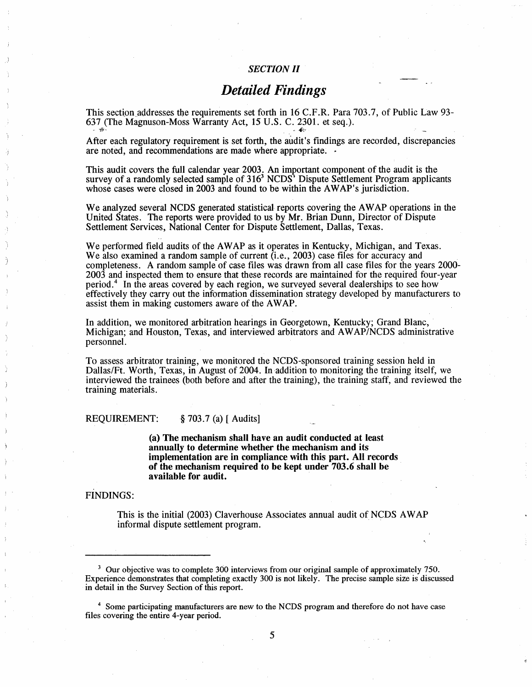## SECTION II

# Detailed Findings

This section addresses the requirements set forth in 16 C.F.R. Para 703.7, of Public Law 93-637 (The Magnuson-Moss Warranty Act, 15 U.S. C. 2301. et seq.).

After each regulatory requirement is set forth, the audit's findings are recorded, discrepancies are noted, and recommendations are made where appropriate.  $\cdot$ 

This audit covers the full calendar year 2003. An important component of the audit is the survey of a randomly selected sample of 316<sup>3</sup> NCDS' Dispute Settlement Program applicants whose cases were closed in 2003 and found to be within the AWAP's jurisdiction.

We analyzed several NCDS generated statistical reports covering the AWAP operations in the United States. The reports were provided to us by Mr. Brian Dunn, Director of Dispute Settlement Services, National Center for Dispute Settlement, Dallas, Texas.

We performed field audits of the AWAP as it operates in Kentucky, Michigan, and Texas. We also examined a random sample of current (i.e., 2003) case files for accuracy and completeness. A random sample of case fies was drawn from all case files for the years 2000- 2003 and inspected them to ensure that these records are maintained for the required four-year period. ' In the areas covered by each region, we surveyed several dealerships to see how effectively they carry out the information dissemination strategy developed by manufacturers to assist them in making customers aware of the AWAP.

In addition, we monitored arbitration hearings in Georgetown, Kentucky; Grand Blanc, Michigan; and Houston, Texas, and interviewed arbitrators and AWAP/NCDS administrative personnel.

To assess arbitrator training, we monitored the NCDS-sponsored training session held in Dallas/Ft. Worth, Texas, in August of 2004. In addition to monitoring the training itself, we interviewed the trainees (both before and after the training), the training staff, and reviewed the training materials.

REQUIREMENT:  $\S$  703.7 (a) [ Audits]

(a) The mechanism shall have an audit conducted at least annually to determine whether the mechanism and its implementation are in compliance with this part. All records of the mechanism required to be kept under 703. 6 shall be available for audit.

#### FINDINGS:

This is the initial (2003) Claverhouse Associates annual audit of NCDS AWAP informal dispute settlement program.

5

 $3$  Our objective was to complete 300 interviews from our original sample of approximately 750. Experience demonstrates that completing exactly 300 is not likely. The precise sample size is discussed in detail in the Survey Section of this report.

<sup>&</sup>lt;sup>4</sup> Some participating manufacturers are new to the NCDS program and therefore do not have case files covering the entire 4-year period.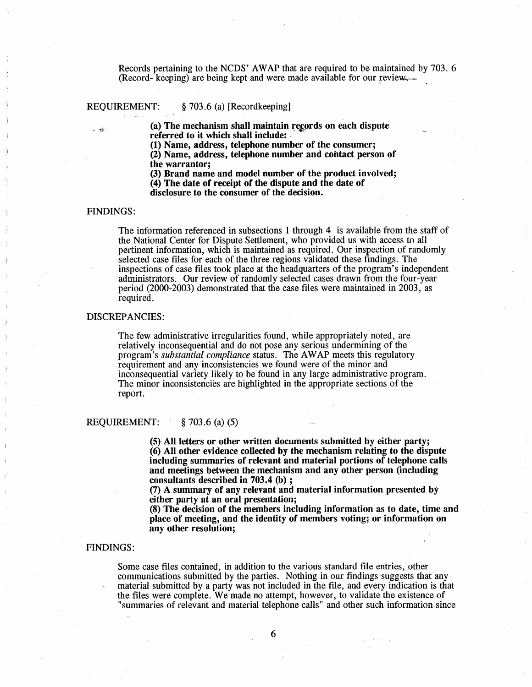Records pertaining to the NCDS' AWAP that are required to be maintained by 703. 6 (Record- keeping) are being kept and were made available for our review.

REQUIREMENT:  $\S$  703.6 (a) [Recordkeeping]

 $\epsilon_{\hat{f}}$ . (a) The mechanism shall maintain records on each dispute referred to it which shall include: .

(1) Name, address, telephone number of the consumer;

(2) Name, address, telephone number and contact person of the warrantor;

(3) Brand name and model number of the product involved; (4) The date of receipt of the dispute and the date of disclosure to the consumer of the decision.

#### FINDINGS:

The information referenced in subsections I through 4 is available from the staff of the National Center for Dispute Settlement, who provided us with access to all pertinent information, which is maintained as required. Our inspection of randomly selected case files for each of the three regions validated these findings. The inspections of case files took place at the headquarters of the program's independent administrators. Our review of randomly selected cases drawn from the four-year period (2000-2003) demonstrated that the case files were maintained in 2003, as required.

#### DISCREPANCIES:

The few administrative irregularities found, while appropriately noted, are relatively inconsequential and do not pose any serious undermining of the program's *substantial compliance* status. The AWAP meets this regulatory requirement and any inconsistencies we found were of the minor and inconsequential variety likely to be found in any large administrative program. The minor inconsistencies are highlighted in the appropriate sections of the report.

#### REQUIREMENT: § 703.6 (a) (5)

(5) All letters or other written documents submitted by either party; (6) All other evidence collected by the mechanism relating to the dispute including summaries of relevant and material portions of telephone calls and meetings between the mechanism and any other person (including consultants described in 703.4 (b) ;

(7) A summary of any relevant and material information presented by either party at an oral presentation;

(8) The decision of the members including information as to date, time and place of meeting, and the identity of members voting; or information on any other resolution;

#### FINDINGS:

Some case fies contained, in addition to the various standard fie entries, other communications submitted by the parties. Nothing in our findings suggests that any material submitted by a party was not included in the fie, and every indication is that the files were complete. We made no attempt, however, to validate the existence of summaries of relevant and material telephone calls " and other such information since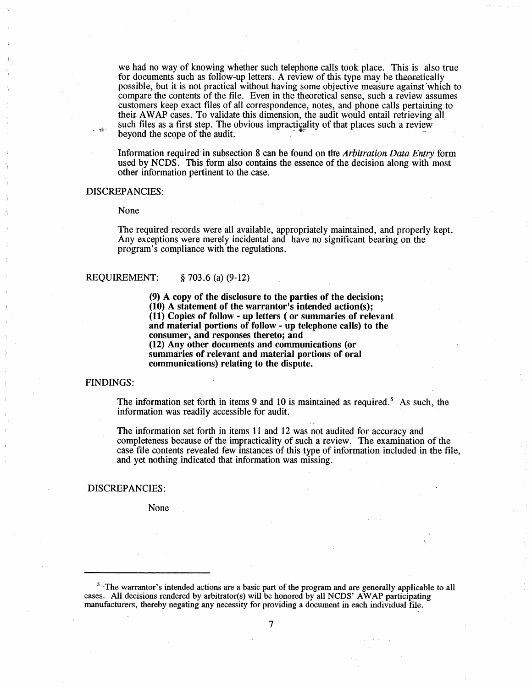we had no way of knowing whether such telephone calls took place. This is also true for documents such as follow-up letters. A review of this type may be theoretically possible, but it is not practical without having some objective measure against which to compare the contents of the tile. Even in the theoretical sense, such a review assumes customers keep exact files of all correspondence, notes, and phone calls pertaining to their A W AP cases. To validate this dimension, the audit would entail retrieving all such files as a first step. The obvious impracticality of that places such a review beyond the scope of the audit. .

Information required in subsection 8 can be found on tie Arbitration Data Entry form used by NCDS. This form also contains the essence of the decision along with most other information pertinent to the case.

#### DISCREPANCIES:

#### None

The required records were all available, appropriately maintained, and properly kept. Any exceptions were merely incidental and have no significant bearing on the program's compliance with the regulations.

## REQUIREMENT:  $\&$  703.6 (a) (9-12)

(9) A copy of the disclosure to the parties of the decision;  $(10)$  A statement of the warrantor's intended action(s); (11) Copies of follow - up letters ( or summaries of relevant and material portions of follow - up telephone calls) to the consumer, and responses thereto; and (12) Any other documents and communications (or summaries of relevant and material portions of oral communications) relating to the dispute.

#### FINDINGS:

The information set forth in items 9 and 10 is maintained as required.<sup>5</sup> As such, the information was readily accessible for audit.

The information set forth in items 11 and 12 was not audited for accuracy and completeness because of the impracticality of such a review. The examination of the case file contents revealed few instances of this type of information included in the file and yet nothing indicated that information was missing.

#### DISCREPANCIES:

None

<sup>&</sup>lt;sup>5</sup> The warrantor's intended actions are a basic part of the program and are generally applicable to all cases. All decisions rendered by arbitrator(s) will be honored by all NCDS' A W AP participating manufacturers , thereby negating any necessity for providing a document in each individual file.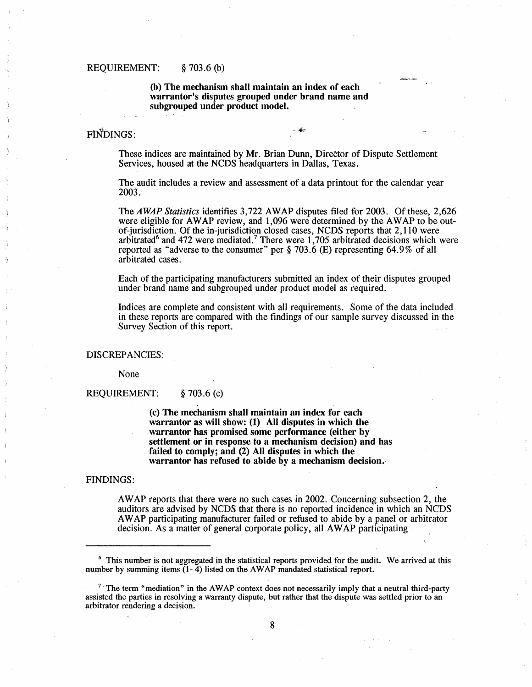# REQUIREMENT:  $\S$  703.6 (b)

(h) The mechanism shall maintain an index of each warrantor's disputes grouped under brand name and subgrouped under product model.

# FINDINGS:

These indices are maintained by Mr. Brian Dunn, Director of Dispute Settlement Services, housed at the NCDS headquarters in Dallas, Texas.

The audit includes a review and assessment of a data printout for the calendar year 2003.

The AWAP Statistics identifies 3,722 AWAP disputes filed for 2003. Of these, 2,626 were eligible for AWAP review, and 1,096 were determined by the AWAP to be outof-jurisdiction. Of the in-jurisdiction closed cases, NCDS reports that 2,110 were arbitrated and 472 were mediated.<sup>7</sup> There were 1,705 arbitrated decisions which were reported as "adverse to the consumer" per  $\S 703.6$  (E) representing 64.9% of all arbitrated cases.

Each of the participating manufacturers submitted an index of their disputes grouped under brand name and subgrouped under product model as required.

Indices are complete and consistent with all requirements. Some of the data included in these reports are compared with the tindings of our sample survey discussed in the Survey Section of this report.

#### DISCREPANCIES:

None

REQUIREMENT: § 703.6 (c)

(c) The mechanism shall maintain an index for each warrantor as will show:  $(1)$  All disputes in which the warrantor has promised some performance (either by settlement or in response to a mechanism decision) and has failed to comply; and (2) All disputes in which the warrantor has refused to ahide by a mechanism decision.

#### FINDINGS:

A W AP reports that there were no such cases in 2002. Concerning subsection 2 , the auditors are advised by NCDS that there is no reported incidence in which an NCDS A W AP participating manufacturer failed or refused to abide by a panel or arbitrator decision. As a matter of general corporate policy, all AWAP participating

<sup>6</sup> This number is not aggregated in the statistical reports provided for the audit. We arrived at this number by summing items  $(1 - 4)$  listed on the AWAP mandated statistical report.

<sup>&</sup>lt;sup>7</sup> The term "mediation" in the AWAP context does not necessarily imply that a neutral third-party assisted the parties in resolving a warranty dispute, but rather that the dispute was settled prior to an arbitrator rendering a decision.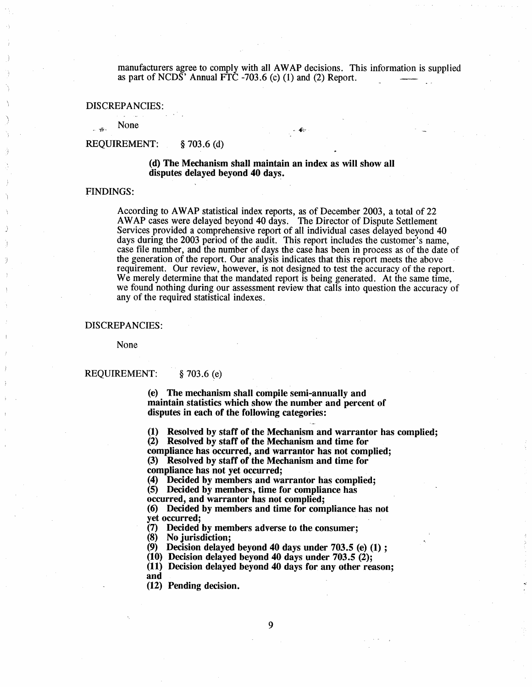manufacturers agree to comply with all AWAP decisions. This information is supplied as part of NCDS $^{\circ}$  Annual FTC -703.6 (c) (1) and (2) Report.

#### DISCREPANCIES:

None

## REQUIREMENT: § 703.6 (d)

#### (d) The Mechanism shall maintain an index as wil show all disputes delayed beyond 40 days.

#### FINDINGS:

 $\frac{1}{2}$  .

According to AWAP statistical index reports, as of December 2003, a total of 22 AWAP cases were delayed beyond 40 days. The Director of Dispute Settlement Services provided a comprehensive report of all individual cases delayed beyond 40 days during the 2003 period of the audit. This report includes the customer's name. case file number, and the number of days the case has been in process as of the date of the generation of the report. Our analysis indicates that this report meets the above requirement. Our review, however, is not designed to test the accuracy of the report. We merely determine that the mandated report is being generated. At the same time, we found nothing during our assessment review that calls into question the accuracy of any of the required statistical indexes.

#### DISCREPANCIES:

None

## REQUIREMENT: § 703.6 (e)

(e) The mechanism shall compile semi-annually and maintain statistics which show the number and percent of disputes in each of the following categories:

(1) Resolved by staff of the Mechanism and warrantor has complied;

(2) Resolved by staff of the Mechanism and time for compliance has occurred, and warrantor has not complied; (3) Resolved by staff of the Mechanism and time for

compliance has not yet occurred;<br>(4) Decided by members and wa

Decided by members and warrantor has complied;

(5) Decided by members , time for compliance has

occurred, and warrantor has not complied;

(6) Decided by members and time for compliance has not yet occurred;<br>(7) Decided

(7) Decided by members adverse to the consumer;<br>(8) No iurisdiction:

No jurisdiction:

 $(9)$  Decision delayed beyond 40 days under 703.5 (e) (1) :

(10) Decision delayed beyond 40 days under  $703.5$  (2);

(11) Decision delayed beyond 40 days for any other reason:

and

(12) Pending decision.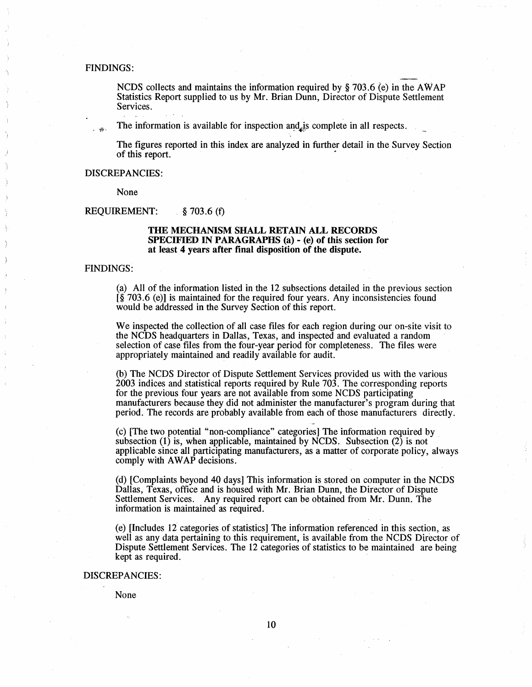#### FINDINGS:

NCDS collects and maintains the information required by  $\frac{1}{2}$  703.6 (e) in the AWAP Statistics Report supplied to us by Mr. Brian Dunn, Director of Dispute Settlement Services.

The information is available for inspection and is complete in all respects.

The figures reported in this index are analyzed in further detail in the Survey Section of this report.

#### DISCREPANCIES:

None

#### REQUIREMENT:  $\&$  703.6 (f)

#### THE MECHANISM SHALL RETAIN ALL RECORDS SPECIFIED IN PARAGRAPHS (a) - (e) of this section for at least 4 years after final disposition of the dispute.

#### FINDINGS:

(a) All of the information listed in the 12 subsections detailed in the previous section  $\hat{I}$ § 703.6 (e)) is maintained for the required four years. Any inconsistencies found would be addressed in the Survey Section of this report.

We inspected the collection of all case files for each region during our on-site visit to the NCDS headquarters in Dallas, Texas, and inspected and evaluated a random selection of case files from the four-year period for completeness. The files were appropriately maintained and readily available for audit.

(b) The NCDS Director of Dispute Settlement Services provided us with the various 2003 indices and statistical reports required by Rule 703. The corresponding reports for the previous four years are not available from some NCDS participating manufacturers because they did not administer the manufacturer's program during that period. The records are probably available from each of those manufacturers directly.

(c) (The two potential " non-compliance" categories) The information required by subsection  $(1)$  is, when applicable, maintained by NCDS. Subsection  $(2)$  is not applicable since all participating manufacturers, as a matter of corporate policy, always comply with AWAP decisions.

(d) (Complaints beyond 40 days) This information is stored on computer in the NCDS Dallas, Texas, office and is housed with Mr. Brian Dunn, the Director of Dispute Settlement Services. Any required report can be obtained from Mr. Dunn. The information is maintained as required.

(e) (Includes 12 categories of statistics) The information referenced in this section , as well as any data pertaining to this requirement, is available from the NCDS Director of Dispute Settlement Services. The 12 categories of statistics to be maintained are being kept as required.

# DISCREPANCIES:

None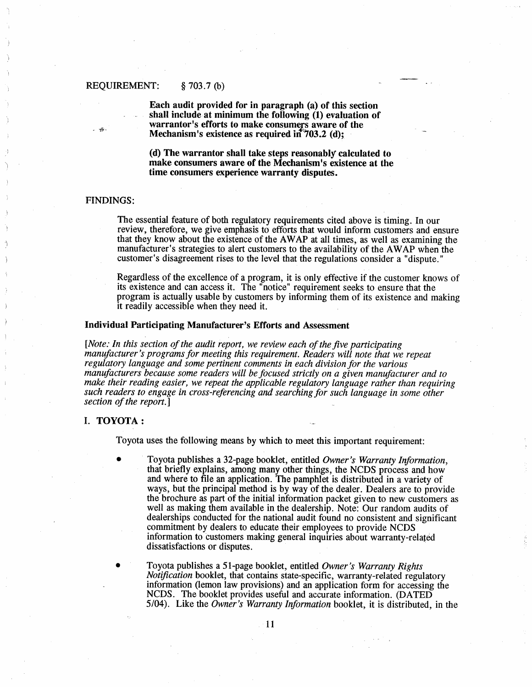Each audit provided for in paragraph (a) of this section shall include at minimum the following (1) evaluation of warrantor's efforts to make consumers aware of the Mechanism's existence as required  $\mathbf{in}^{\sharp}703.2$  (d);

(d) The warrantor shall take steps reasonably calculated to make consumers aware of the Mechanism's existence at the time consumers experience warranty disputes.

## FINDINGS:

-i.

The essential feature of both regulatory requirements cited above is timing. In our review, therefore, we give emphasis to efforts that would inform customers and ensure that they know about the existence of the A W AP at all times, as well as examining the manufacturer's strategies to alert customers to the availability of the AWAP when the customer's disagreement rises to the level that the regulations consider a "dispute."

Regardless of the excellence of a program, it is only effective if the customer knows of its existence and can access it. The " notice" requirement seeks to ensure that the program is actually usable by customers by informing them of its existence and making it readily accessible when they need it.

#### Individual Participating Manufacturer's Efforts and Assessment

(Note: In this section of the audit report, we review each of the five participating manufacturer's programs for meeting this requirement. Readers will note that we repeat regulatory language and some pertinent comments in each division for the various manufacturers because some readers will be focused strictly on a given manufacturer and to make their reading easier, we repeat the applicable regulatory language rather than requiring such readers to engage in cross-referencing and searching for such language in some other section of the report.

#### I. TOYOTA:

Toyota uses the following means by which to meet this important requirement:

- Toyota publishes a 32-page booklet, entitled Owner's Warranty Information, that briefly explains, among many other things, the NCDS process and how and where to fie an application. The pamphlet is distributed in a variety of ways, but the principal method is by way of the dealer. Dealers are to provide the brochure as part of the initial information packet given to new customers as well as making them available in the dealership. Note: Our random audits of dealerships conducted for the national audit found no consistent and significant commitment by dealers to educate their employees to provide NCDS information to customers making general inquiries about warranty-related dissatisfactions or disputes.
- Toyota publishes a 51-page booklet, entitled Owner's Warranty Rights Notifcation booklet, that contains state-specific, warranty-related regulatory information (lemon law provisions) and an application form for accessing the NCDS. The booklet provides useful and accurate information. (DATED 5/04). Like the Owner's Warranty Information booklet, it is distributed, in the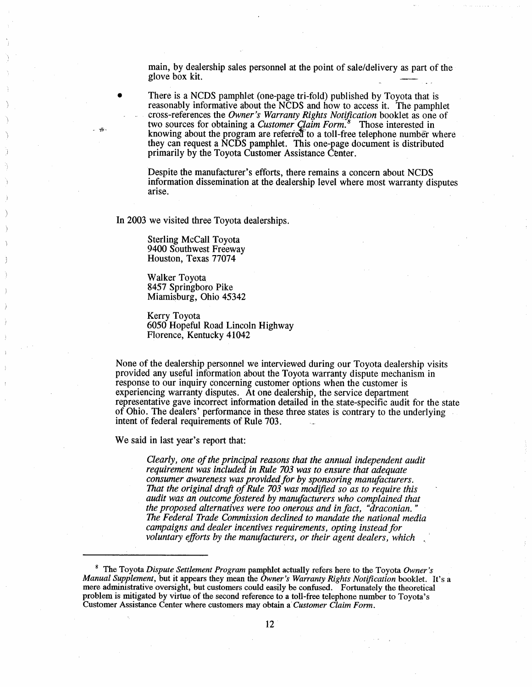main, by dealership sales personnel at the point of sale/delivery as part of the glove box kit.

There is a NCDS pamphlet (one-page tri-fold) published by Toyota that is reasonably informative about the NCDS and how to access it. The pamphlet cross-references the *Owner's Warranty Rights Notification* booklet as one of two sources for obtaining a Customer Claim Form.<sup>8</sup> Those interested in knowing about the program are referred to a toll-free telephone number where they can request a NCDS pamphlet. This one-page document is distributed primarily by the Toyota Customer Assistance Center.

Despite the manufacturer's efforts, there remains a concern about NCDS information dissemination at the dealership level where most warranty disputes arise.

In 2003 we visited three Toyota dealerships.

磁

Sterling McCall Toyota 9400 Southwest Freeway Houston, Texas 77074

Walker Toyota 8457 Springboro Pike Miamisburg, Ohio 45342

Kerry Toyota 6050 Hopeful Road Lincoln Highway Florence, Kentucky 41042

None of the dealership personnel we interviewed during our Toyota dealership visits provided any useful information about the Toyota warranty dispute mechanism in response to our inquiry concerning customer options when the customer is experiencing warranty disputes. At one dealership, the service department representative gave incorrect information detailed in the state-specific audit for the state of Ohio. The dealers' performance in these three states is contrary to the underlying intent of federal requirements of Rule 703.

We said in last year's report that:

Clearly, one of the principal reasons that the annual independent audit requirement was included in Rule 703 was to ensure that adequate consumer awareness was provided for by sponsoring manufacturers. That the original draft of Rule  $703$  was modified so as to require this audit was an outcome fostered by manufacturers who complained that the proposed alternatives were too onerous and in fact draconian. The Federal Trade Commission declined to mandate the national media campaigns and dealer incentives requirements, opting instead for voluntary efforts by the manufacturers, or their agent dealers, which

<sup>&</sup>lt;sup>8</sup> The Toyota Dispute Settlement Program pamphlet actually refers here to the Toyota Owner Manual Supplement, but it appears they mean the Owner's Warranty Rights Notification booklet. It's a mere administrative oversight, but customers could easily be confused. Fortunately the theoretical problem is mitigated by virtue of the second reference to a toll-free telephone number to Toyota Customer Assistance Center where customers may obtain a Customer Claim Form.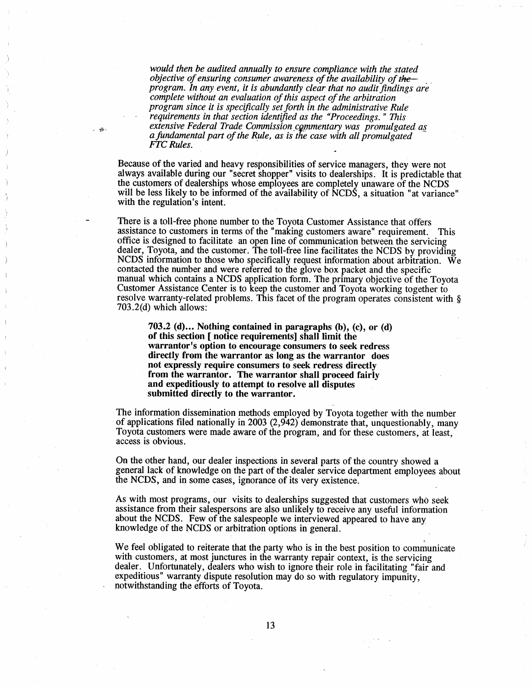would then be audited annually to ensure compliance with the stated objective of ensuring consumer awareness of the availability of theprogram. In any event, it is abundantly clear that no audit findings are complete without an evaluation of this aspect of the arbitration program since it is specifcally set forth in the administrative Rule requirements in that section identifed as the "Proceedings. " This extensive Federal Trade Commission commentary was promulgated as a fundamental part of the Rule, as is the case with all promulgated FTC Rules.

 $-\frac{\sqrt{3}}{2}$ 

Because of the varied and heavy responsibilities of service managers, they were not always available during our "secret shopper" visits to dealerships. It is predictable that the customers of dealerships whose employees are completely unaware of the NCDS will be less likely to be informed of the availability of NCDS, a situation "at variance" with the regulation's intent.

There is a toll-free phone number to the Toyota Customer Assistance that offers assistance to customers in terms of the "making customers aware " requirement. This offce is designed to facilitate an open line of communication between the servicing dealer, Toyota, and the customer. The toll-free line facilitates the NCDS by providing NCDS information to those who specifically request information about arbitration. We contacted the number and were referred to the glove box packet and the specific manual which contains a NCDS application form. The primary objective of the Toyota Customer Assistance Center is to keep the customer and Toyota working together to resolve warranty-related problems. This facet of the program operates consistent with  $\S$ 703.2(d) which allows:

703.2 (d)... Nothing contained in paragraphs (b), (c), or (d) of this section [ notice requirements] shall limit the warrantor's option to encourage consumers to seek redress directly from the warrantor as long as the warrantor does not expressly require consumers to seek redress directly from the warrantor. The warrantor shall proceed fairly and expeditiously to attempt to resolve all disputes submitted directly to the warrantor.

The information dissemination methods employed by Toyota together with the number of applications filed nationally in 2003  $(2,942)$  demonstrate that, unquestionably, many Toyota customers were made aware of the program, and for these customers , at least access is obvious.

On the other hand, our dealer inspections in several parts of the country showed a general lack of knowledge on the part of the dealer service department employees about the NCDS, and in some cases, ignorance of its very existence.

As with most programs , our visits to dealerships suggested that customers who seek assistance from their salespersons are also unlikely to receive any useful information about the NCDS. Few of the salespeople we interviewed appeared to have any knowledge of the NCDS or arbitration options in general.

We feel obligated to reiterate that the party who is in the best position to communicate with customers, at most junctures in the warranty repair context, is the servicing dealer. Unfortunately, dealers who wish to ignore their role in facilitating " fair and expeditious" warranty dispute resolution may do so with regulatory impunity, notwithstanding the efforts of Toyota.